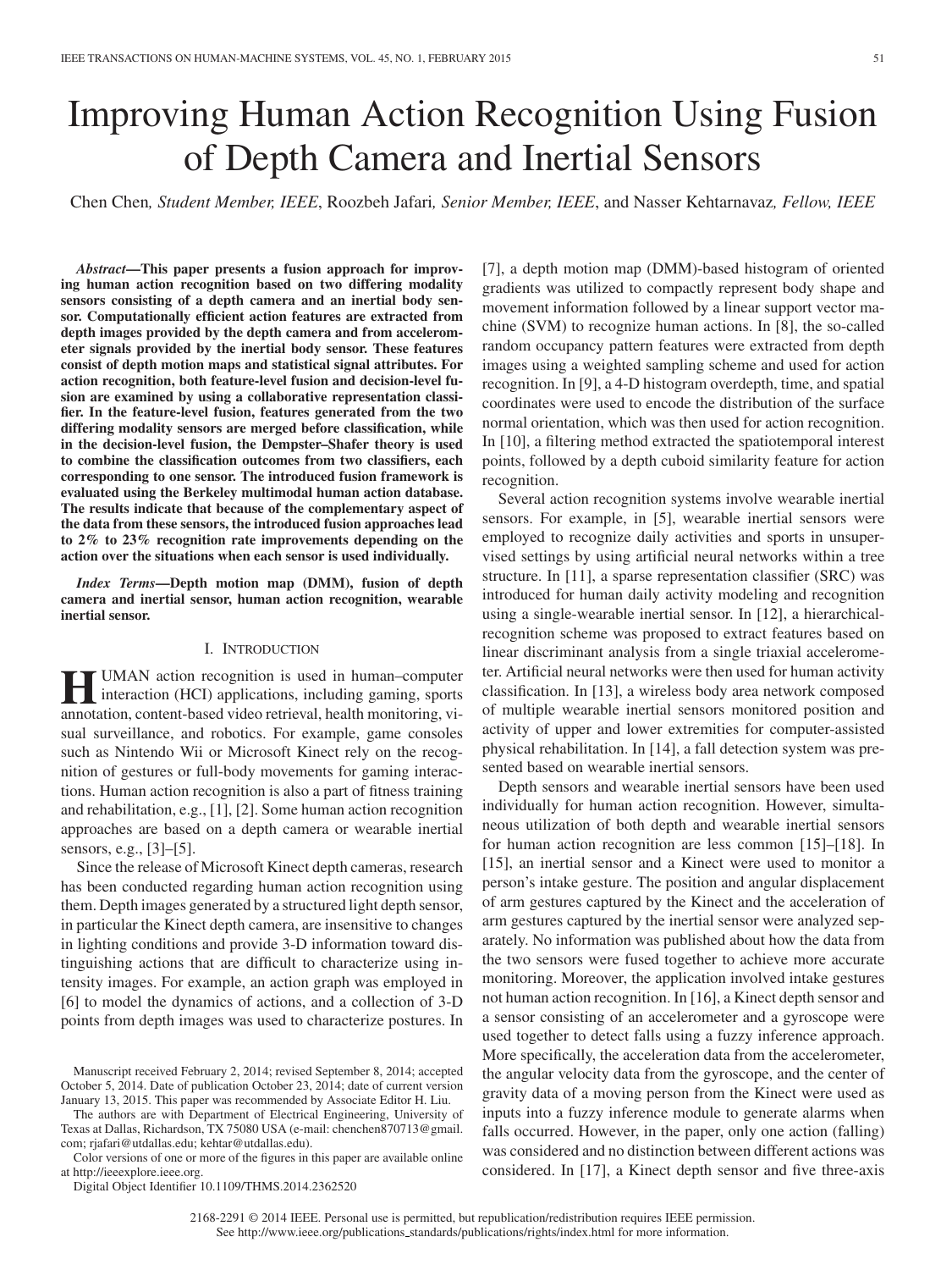# Improving Human Action Recognition Using Fusion of Depth Camera and Inertial Sensors

Chen Chen*, Student Member, IEEE*, Roozbeh Jafari*, Senior Member, IEEE*, and Nasser Kehtarnavaz*, Fellow, IEEE*

*Abstract***—This paper presents a fusion approach for improving human action recognition based on two differing modality sensors consisting of a depth camera and an inertial body sensor. Computationally efficient action features are extracted from depth images provided by the depth camera and from accelerometer signals provided by the inertial body sensor. These features consist of depth motion maps and statistical signal attributes. For action recognition, both feature-level fusion and decision-level fusion are examined by using a collaborative representation classifier. In the feature-level fusion, features generated from the two differing modality sensors are merged before classification, while in the decision-level fusion, the Dempster–Shafer theory is used to combine the classification outcomes from two classifiers, each corresponding to one sensor. The introduced fusion framework is evaluated using the Berkeley multimodal human action database. The results indicate that because of the complementary aspect of the data from these sensors, the introduced fusion approaches lead to 2% to 23% recognition rate improvements depending on the action over the situations when each sensor is used individually.**

*Index Terms***—Depth motion map (DMM), fusion of depth camera and inertial sensor, human action recognition, wearable inertial sensor.**

## I. INTRODUCTION

**HHUMAN** action recognition is used in human–computer interaction (HCI) applications, including gaming, sports annotation, content-based video retrieval, health monitoring, visual surveillance, and robotics. For example, game consoles such as Nintendo Wii or Microsoft Kinect rely on the recognition of gestures or full-body movements for gaming interactions. Human action recognition is also a part of fitness training and rehabilitation, e.g., [1], [2]. Some human action recognition approaches are based on a depth camera or wearable inertial sensors, e.g., [3]–[5].

Since the release of Microsoft Kinect depth cameras, research has been conducted regarding human action recognition using them. Depth images generated by a structured light depth sensor, in particular the Kinect depth camera, are insensitive to changes in lighting conditions and provide 3-D information toward distinguishing actions that are difficult to characterize using intensity images. For example, an action graph was employed in [6] to model the dynamics of actions, and a collection of 3-D points from depth images was used to characterize postures. In

The authors are with Department of Electrical Engineering, University of Texas at Dallas, Richardson, TX 75080 USA (e-mail: chenchen870713@gmail. com; rjafari@utdallas.edu; kehtar@utdallas.edu).

Color versions of one or more of the figures in this paper are available online at http://ieeexplore.ieee.org.

Digital Object Identifier 10.1109/THMS.2014.2362520

[7], a depth motion map (DMM)-based histogram of oriented gradients was utilized to compactly represent body shape and movement information followed by a linear support vector machine (SVM) to recognize human actions. In [8], the so-called random occupancy pattern features were extracted from depth images using a weighted sampling scheme and used for action recognition. In [9], a 4-D histogram overdepth, time, and spatial coordinates were used to encode the distribution of the surface normal orientation, which was then used for action recognition. In [10], a filtering method extracted the spatiotemporal interest points, followed by a depth cuboid similarity feature for action recognition.

Several action recognition systems involve wearable inertial sensors. For example, in [5], wearable inertial sensors were employed to recognize daily activities and sports in unsupervised settings by using artificial neural networks within a tree structure. In [11], a sparse representation classifier (SRC) was introduced for human daily activity modeling and recognition using a single-wearable inertial sensor. In [12], a hierarchicalrecognition scheme was proposed to extract features based on linear discriminant analysis from a single triaxial accelerometer. Artificial neural networks were then used for human activity classification. In [13], a wireless body area network composed of multiple wearable inertial sensors monitored position and activity of upper and lower extremities for computer-assisted physical rehabilitation. In [14], a fall detection system was presented based on wearable inertial sensors.

Depth sensors and wearable inertial sensors have been used individually for human action recognition. However, simultaneous utilization of both depth and wearable inertial sensors for human action recognition are less common [15]–[18]. In [15], an inertial sensor and a Kinect were used to monitor a person's intake gesture. The position and angular displacement of arm gestures captured by the Kinect and the acceleration of arm gestures captured by the inertial sensor were analyzed separately. No information was published about how the data from the two sensors were fused together to achieve more accurate monitoring. Moreover, the application involved intake gestures not human action recognition. In [16], a Kinect depth sensor and a sensor consisting of an accelerometer and a gyroscope were used together to detect falls using a fuzzy inference approach. More specifically, the acceleration data from the accelerometer, the angular velocity data from the gyroscope, and the center of gravity data of a moving person from the Kinect were used as inputs into a fuzzy inference module to generate alarms when falls occurred. However, in the paper, only one action (falling) was considered and no distinction between different actions was considered. In [17], a Kinect depth sensor and five three-axis

Manuscript received February 2, 2014; revised September 8, 2014; accepted October 5, 2014. Date of publication October 23, 2014; date of current version January 13, 2015. This paper was recommended by Associate Editor H. Liu.

<sup>2168-2291 © 2014</sup> IEEE. Personal use is permitted, but republication/redistribution requires IEEE permission. See http://www.ieee.org/publications\_standards/publications/rights/index.html for more information.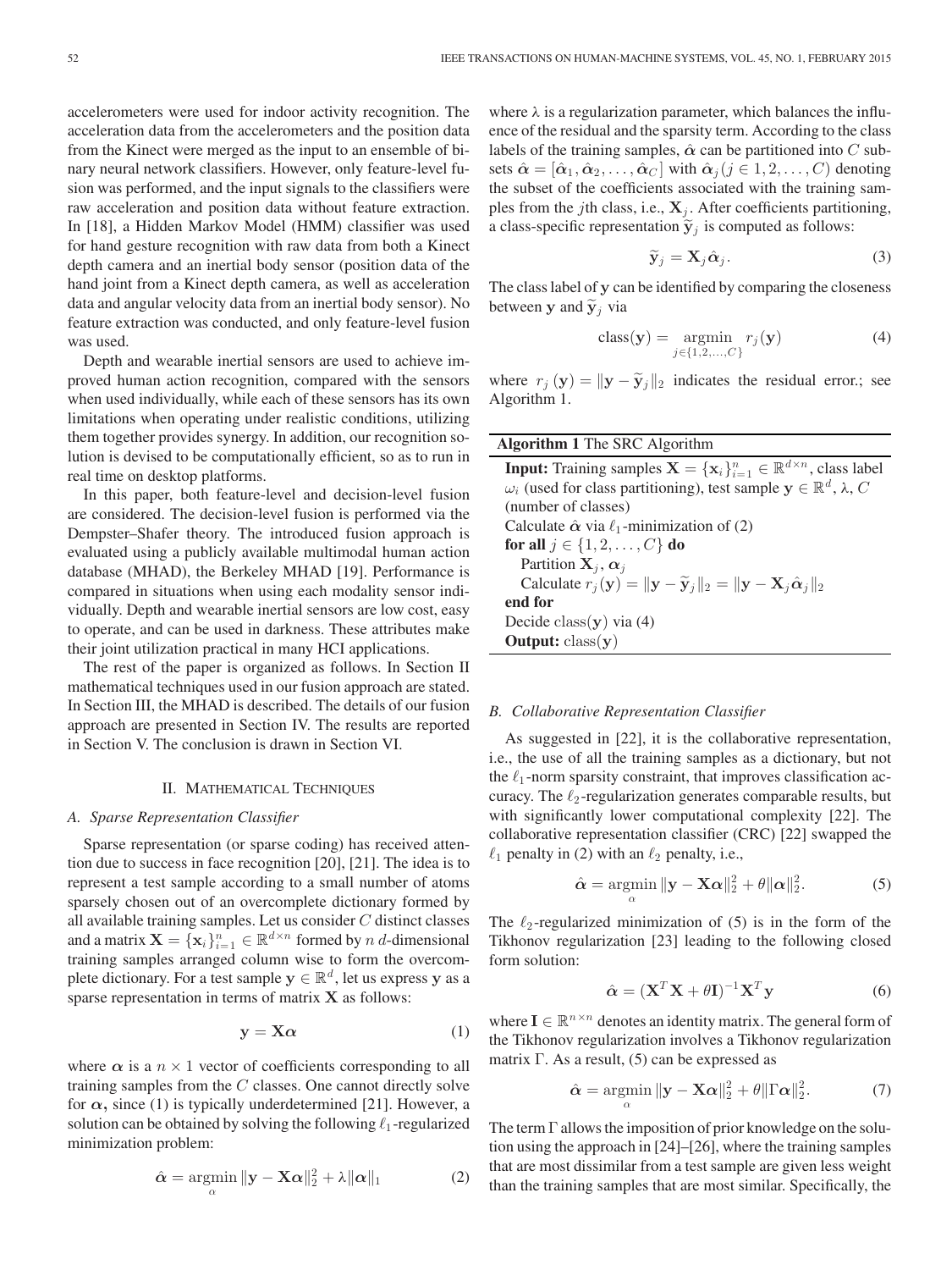accelerometers were used for indoor activity recognition. The acceleration data from the accelerometers and the position data from the Kinect were merged as the input to an ensemble of binary neural network classifiers. However, only feature-level fusion was performed, and the input signals to the classifiers were raw acceleration and position data without feature extraction. In [18], a Hidden Markov Model (HMM) classifier was used for hand gesture recognition with raw data from both a Kinect depth camera and an inertial body sensor (position data of the hand joint from a Kinect depth camera, as well as acceleration data and angular velocity data from an inertial body sensor). No feature extraction was conducted, and only feature-level fusion was used.

Depth and wearable inertial sensors are used to achieve improved human action recognition, compared with the sensors when used individually, while each of these sensors has its own limitations when operating under realistic conditions, utilizing them together provides synergy. In addition, our recognition solution is devised to be computationally efficient, so as to run in real time on desktop platforms.

In this paper, both feature-level and decision-level fusion are considered. The decision-level fusion is performed via the Dempster–Shafer theory. The introduced fusion approach is evaluated using a publicly available multimodal human action database (MHAD), the Berkeley MHAD [19]. Performance is compared in situations when using each modality sensor individually. Depth and wearable inertial sensors are low cost, easy to operate, and can be used in darkness. These attributes make their joint utilization practical in many HCI applications.

The rest of the paper is organized as follows. In Section II mathematical techniques used in our fusion approach are stated. In Section III, the MHAD is described. The details of our fusion approach are presented in Section IV. The results are reported in Section V. The conclusion is drawn in Section VI.

#### II. MATHEMATICAL TECHNIQUES

# *A. Sparse Representation Classifier*

Sparse representation (or sparse coding) has received attention due to success in face recognition [20], [21]. The idea is to represent a test sample according to a small number of atoms sparsely chosen out of an overcomplete dictionary formed by all available training samples. Let us consider  $C$  distinct classes and a matrix  $\mathbf{X} = {\mathbf{x}_i}_{i=1}^n \in \mathbb{R}^{d \times n}$  formed by n d-dimensional training samples arranged column wise to form the overcomplete dictionary. For a test sample  $y \in \mathbb{R}^d$ , let us express y as a sparse representation in terms of matrix **X** as follows:

$$
y = X\alpha \tag{1}
$$

where  $\alpha$  is a  $n \times 1$  vector of coefficients corresponding to all training samples from the  $C$  classes. One cannot directly solve for  $\alpha$ , since (1) is typically underdetermined [21]. However, a solution can be obtained by solving the following  $\ell_1$ -regularized minimization problem:

$$
\hat{\alpha} = \underset{\alpha}{\operatorname{argmin}} \|\mathbf{y} - \mathbf{X}\alpha\|_2^2 + \lambda \|\alpha\|_1 \tag{2}
$$

where  $\lambda$  is a regularization parameter, which balances the influence of the residual and the sparsity term. According to the class labels of the training samples,  $\hat{\alpha}$  can be partitioned into C subsets  $\hat{\alpha} = [\hat{\alpha}_1, \hat{\alpha}_2, \dots, \hat{\alpha}_C]$  with  $\hat{\alpha}_i (j \in 1, 2, \dots, C)$  denoting the subset of the coefficients associated with the training samples from the *j*th class, i.e.,  $X_j$ . After coefficients partitioning, a class-specific representation  $\tilde{\mathbf{y}}_j$  is computed as follows:

$$
\widetilde{\mathbf{y}}_j = \mathbf{X}_j \hat{\boldsymbol{\alpha}}_j. \tag{3}
$$

The class label of **y** can be identified by comparing the closeness between **y** and  $\widetilde{\mathbf{y}}_j$  via

$$
class(\mathbf{y}) = \operatorname*{argmin}_{j \in \{1, 2, \dots, C\}} r_j(\mathbf{y})
$$
(4)

where  $r_j(\mathbf{y}) = ||\mathbf{y} - \tilde{\mathbf{y}}_j||_2$  indicates the residual error.; see Algorithm 1 Algorithm 1.

# **Algorithm 1** The SRC Algorithm

**Input:** Training samples  $\mathbf{X} = {\mathbf{x}_i}_{i=1}^n \in \mathbb{R}^{d \times n}$ , class label  $ω<sub>i</sub>$  (used for class partitioning), test sample **y** ∈ ℝ<sup>d</sup>, λ, C (number of classes) Calculate  $\hat{\alpha}$  via  $\ell_1$ -minimization of (2) **for all**  $j \in \{1, 2, ..., C\}$  **do** Partition  $\mathbf{X}_i, \alpha_j$ Calculate  $r_j(\mathbf{y}) = ||\mathbf{y} - \widetilde{\mathbf{y}}_j||_2 = ||\mathbf{y} - \mathbf{X}_j \hat{\boldsymbol{\alpha}}_j||_2$ <br>**d** for **end for** Decide class(**y**) via (4) **Output:** class(**y**)

# *B. Collaborative Representation Classifier*

As suggested in [22], it is the collaborative representation, i.e., the use of all the training samples as a dictionary, but not the  $\ell_1$ -norm sparsity constraint, that improves classification accuracy. The  $\ell_2$ -regularization generates comparable results, but with significantly lower computational complexity [22]. The collaborative representation classifier (CRC) [22] swapped the  $\ell_1$  penalty in (2) with an  $\ell_2$  penalty, i.e.,

$$
\hat{\alpha} = \underset{\alpha}{\operatorname{argmin}} \|\mathbf{y} - \mathbf{X}\alpha\|_2^2 + \theta \|\alpha\|_2^2. \tag{5}
$$

The  $\ell_2$ -regularized minimization of (5) is in the form of the Tikhonov regularization [23] leading to the following closed form solution:

$$
\hat{\alpha} = (\mathbf{X}^T \mathbf{X} + \theta \mathbf{I})^{-1} \mathbf{X}^T \mathbf{y}
$$
 (6)

where  $I \in \mathbb{R}^{n \times n}$  denotes an identity matrix. The general form of the Tikhonov regularization involves a Tikhonov regularization matrix  $\Gamma$ . As a result, (5) can be expressed as

$$
\hat{\alpha} = \underset{\alpha}{\operatorname{argmin}} \|\mathbf{y} - \mathbf{X}\alpha\|_2^2 + \theta \|\Gamma\alpha\|_2^2. \tag{7}
$$

The term  $\Gamma$  allows the imposition of prior knowledge on the solution using the approach in [24]–[26], where the training samples that are most dissimilar from a test sample are given less weight than the training samples that are most similar. Specifically, the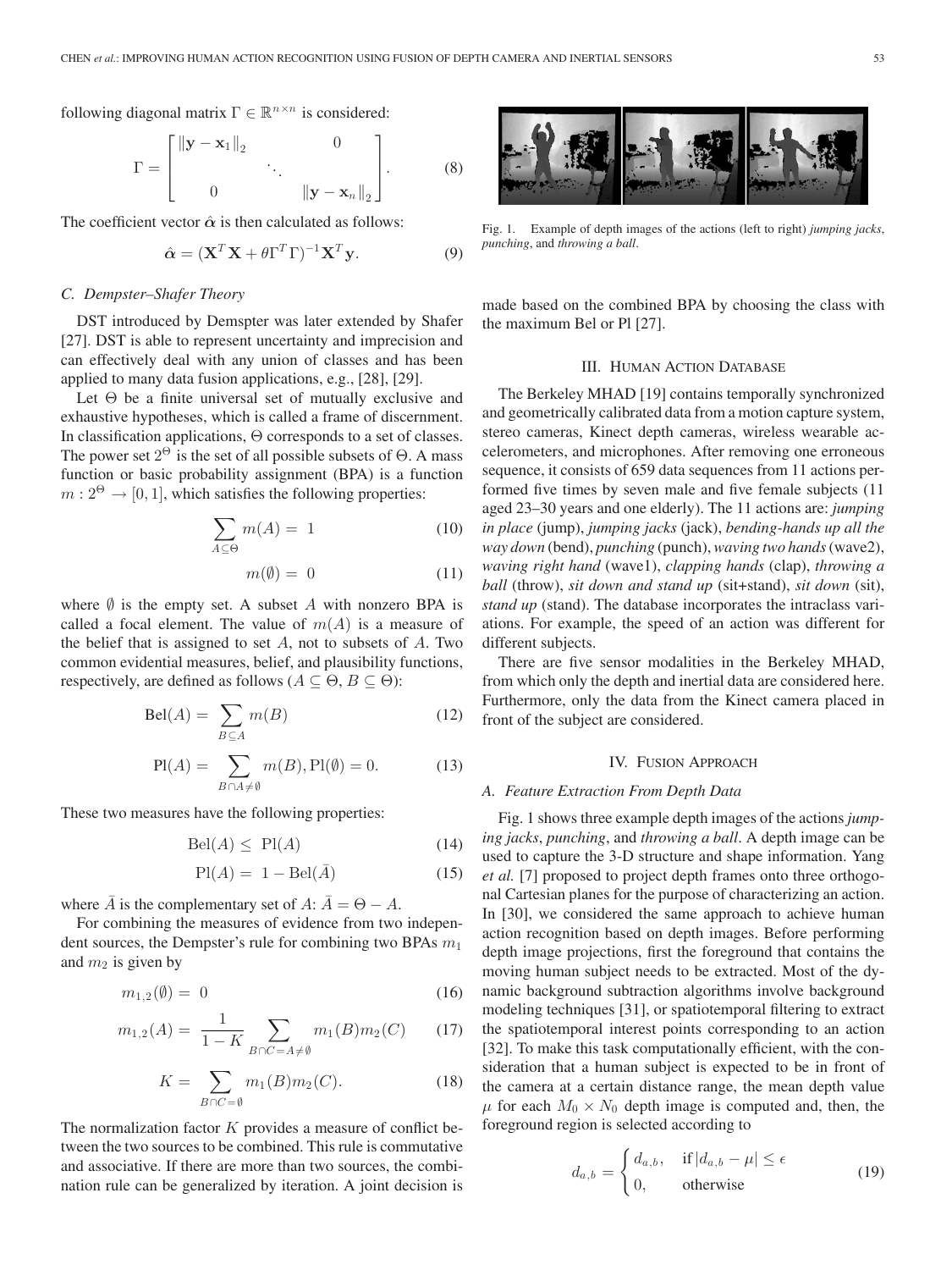following diagonal matrix  $\Gamma \in \mathbb{R}^{n \times n}$  is considered:

$$
\Gamma = \begin{bmatrix} \|\mathbf{y} - \mathbf{x}_1\|_2 & 0 \\ 0 & \ddots & 0 \\ 0 & \|\mathbf{y} - \mathbf{x}_n\|_2 \end{bmatrix} . \tag{8}
$$

The coefficient vector  $\hat{\alpha}$  is then calculated as follows:

$$
\hat{\alpha} = (\mathbf{X}^T \mathbf{X} + \theta \mathbf{\Gamma}^T \mathbf{\Gamma})^{-1} \mathbf{X}^T \mathbf{y}.
$$
 (9)

## *C. Dempster–Shafer Theory*

DST introduced by Demspter was later extended by Shafer [27]. DST is able to represent uncertainty and imprecision and can effectively deal with any union of classes and has been applied to many data fusion applications, e.g., [28], [29].

Let  $\Theta$  be a finite universal set of mutually exclusive and exhaustive hypotheses, which is called a frame of discernment. In classification applications, Θ corresponds to a set of classes. The power set  $2^{\Theta}$  is the set of all possible subsets of  $\Theta$ . A mass function or basic probability assignment (BPA) is a function  $m: 2^{\Theta} \rightarrow [0, 1]$ , which satisfies the following properties:

$$
\sum_{A \subseteq \Theta} m(A) = 1 \tag{10}
$$

$$
m(\emptyset) = 0 \tag{11}
$$

where  $\emptyset$  is the empty set. A subset A with nonzero BPA is called a focal element. The value of  $m(A)$  is a measure of the belief that is assigned to set  $A$ , not to subsets of  $A$ . Two common evidential measures, belief, and plausibility functions, respectively, are defined as follows ( $A \subseteq \Theta$ ,  $B \subseteq \Theta$ ):

$$
Bel(A) = \sum_{B \subseteq A} m(B) \tag{12}
$$

$$
\text{Pl}(A) = \sum_{B \cap A \neq \emptyset} m(B), \text{Pl}(\emptyset) = 0. \tag{13}
$$

These two measures have the following properties:

$$
Bel(A) \leq Pl(A) \tag{14}
$$

$$
\text{Pl}(A) = 1 - \text{Bel}(\bar{A})\tag{15}
$$

where  $\overline{A}$  is the complementary set of  $A: \overline{A} = \Theta - A$ .

For combining the measures of evidence from two independent sources, the Dempster's rule for combining two BPAs  $m_1$ and  $m_2$  is given by

$$
m_{1,2}(\emptyset) = 0 \tag{16}
$$

$$
m_{1,2}(A) = \frac{1}{1 - K} \sum_{B \cap C = A \neq \emptyset} m_1(B) m_2(C) \qquad (17)
$$

$$
K = \sum_{B \cap C = \emptyset} m_1(B)m_2(C). \tag{18}
$$

The normalization factor  $K$  provides a measure of conflict between the two sources to be combined. This rule is commutative and associative. If there are more than two sources, the combination rule can be generalized by iteration. A joint decision is



Fig. 1. Example of depth images of the actions (left to right) *jumping jacks*, *punching*, and *throwing a ball*.

made based on the combined BPA by choosing the class with the maximum Bel or Pl [27].

## III. HUMAN ACTION DATABASE

The Berkeley MHAD [19] contains temporally synchronized and geometrically calibrated data from a motion capture system, stereo cameras, Kinect depth cameras, wireless wearable accelerometers, and microphones. After removing one erroneous sequence, it consists of 659 data sequences from 11 actions performed five times by seven male and five female subjects (11 aged 23–30 years and one elderly). The 11 actions are: *jumping in place* (jump), *jumping jacks* (jack), *bending-hands up all the way down* (bend), *punching* (punch),*waving two hands*(wave2), *waving right hand* (wave1), *clapping hands* (clap), *throwing a ball* (throw), *sit down and stand up* (sit+stand), *sit down* (sit), *stand up* (stand). The database incorporates the intraclass variations. For example, the speed of an action was different for different subjects.

There are five sensor modalities in the Berkeley MHAD, from which only the depth and inertial data are considered here. Furthermore, only the data from the Kinect camera placed in front of the subject are considered.

## IV. FUSION APPROACH

# *A. Feature Extraction From Depth Data*

Fig. 1 shows three example depth images of the actions *jumping jacks*, *punching*, and *throwing a ball*. A depth image can be used to capture the 3-D structure and shape information. Yang *et al.* [7] proposed to project depth frames onto three orthogonal Cartesian planes for the purpose of characterizing an action. In [30], we considered the same approach to achieve human action recognition based on depth images. Before performing depth image projections, first the foreground that contains the moving human subject needs to be extracted. Most of the dynamic background subtraction algorithms involve background modeling techniques [31], or spatiotemporal filtering to extract the spatiotemporal interest points corresponding to an action [32]. To make this task computationally efficient, with the consideration that a human subject is expected to be in front of the camera at a certain distance range, the mean depth value  $\mu$  for each  $M_0 \times N_0$  depth image is computed and, then, the foreground region is selected according to

$$
d_{a,b} = \begin{cases} d_{a,b}, & \text{if } |d_{a,b} - \mu| \le \epsilon \\ 0, & \text{otherwise} \end{cases}
$$
(19)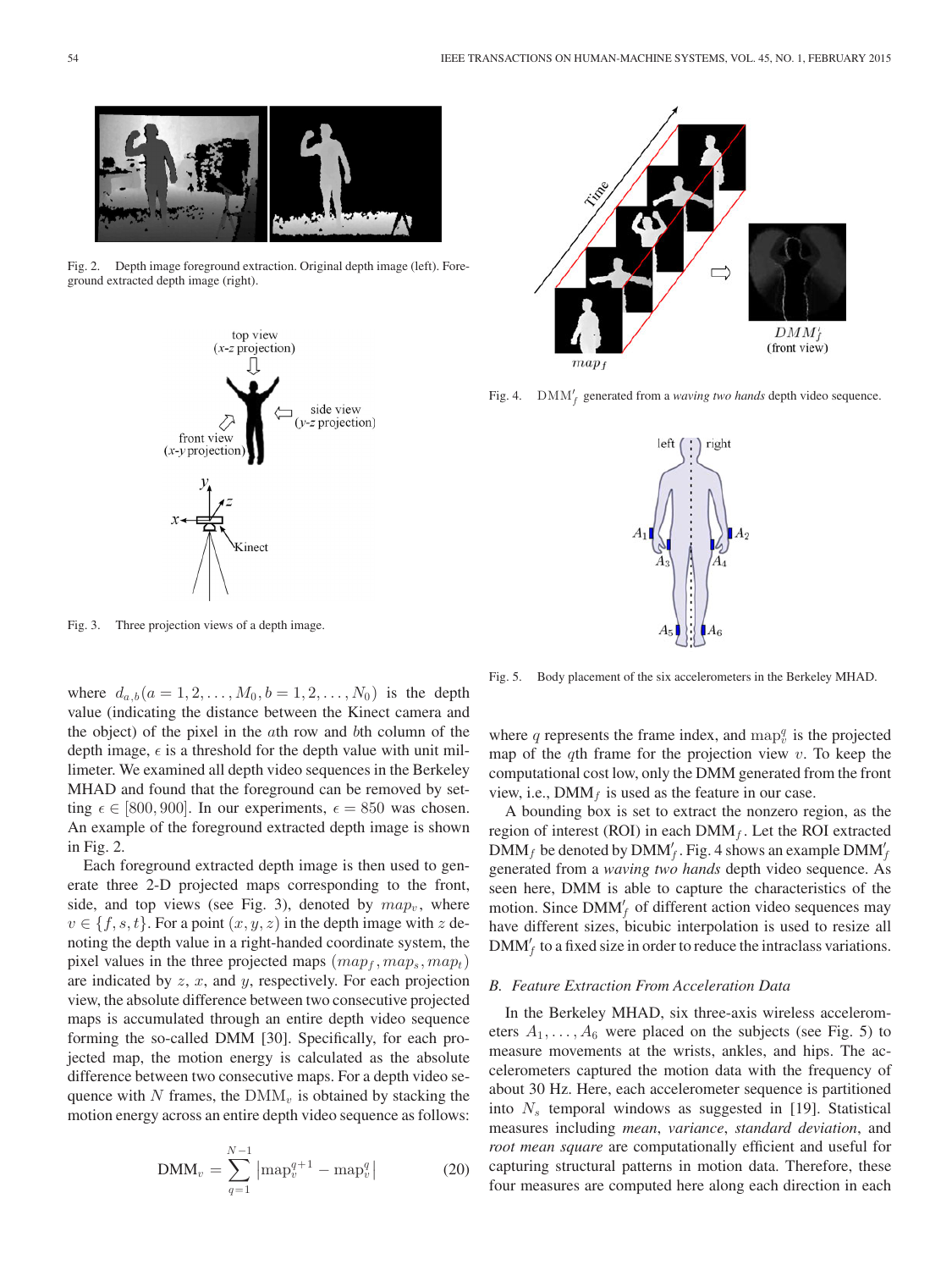

Fig. 2. Depth image foreground extraction. Original depth image (left). Foreground extracted depth image (right).



Fig. 3. Three projection views of a depth image.

where  $d_{a,b}$   $(a = 1, 2, ..., M_0, b = 1, 2, ..., N_0)$  is the depth value (indicating the distance between the Kinect camera and the object) of the pixel in the ath row and bth column of the depth image,  $\epsilon$  is a threshold for the depth value with unit millimeter. We examined all depth video sequences in the Berkeley MHAD and found that the foreground can be removed by setting  $\epsilon \in [800, 900]$ . In our experiments,  $\epsilon = 850$  was chosen. An example of the foreground extracted depth image is shown in Fig. 2.

Each foreground extracted depth image is then used to generate three 2-D projected maps corresponding to the front, side, and top views (see Fig. 3), denoted by  $map_v$ , where  $v \in \{f, s, t\}$ . For a point  $(x, y, z)$  in the depth image with z denoting the depth value in a right-handed coordinate system, the pixel values in the three projected maps  $(map_f, map_s, map_t)$ are indicated by  $z, x$ , and  $y$ , respectively. For each projection view, the absolute difference between two consecutive projected maps is accumulated through an entire depth video sequence forming the so-called DMM [30]. Specifically, for each projected map, the motion energy is calculated as the absolute difference between two consecutive maps. For a depth video sequence with N frames, the  $\text{DMM}_v$  is obtained by stacking the motion energy across an entire depth video sequence as follows:

$$
DMM_v = \sum_{q=1}^{N-1} |map_v^{q+1} - map_v^q|
$$
 (20)



Fig. 4. DMM <sup>f</sup> generated from a *waving two hands* depth video sequence.



Fig. 5. Body placement of the six accelerometers in the Berkeley MHAD.

where q represents the frame index, and  $\text{map}_v^q$  is the projected map of the qth frame for the projection view  $v$ . To keep the computational cost low, only the DMM generated from the front view, i.e.,  $\text{DMM}_f$  is used as the feature in our case.

A bounding box is set to extract the nonzero region, as the region of interest (ROI) in each  $\text{DMM}_f$ . Let the ROI extracted  $\text{DMM}_f$  be denoted by  $\text{DMM}'_f$ . Fig. 4 shows an example  $\text{DMM}'_f$ generated from a *waving two hands* depth video sequence. As seen here, DMM is able to capture the characteristics of the motion. Since  $\text{DMM}_f'$  of different action video sequences may have different sizes, bicubic interpolation is used to resize all  $\text{DMM}'_f$  to a fixed size in order to reduce the intraclass variations.

# *B. Feature Extraction From Acceleration Data*

In the Berkeley MHAD, six three-axis wireless accelerometers  $A_1, \ldots, A_6$  were placed on the subjects (see Fig. 5) to measure movements at the wrists, ankles, and hips. The accelerometers captured the motion data with the frequency of about 30 Hz. Here, each accelerometer sequence is partitioned into  $N<sub>s</sub>$  temporal windows as suggested in [19]. Statistical measures including *mean*, *variance*, *standard deviation*, and *root mean square* are computationally efficient and useful for capturing structural patterns in motion data. Therefore, these four measures are computed here along each direction in each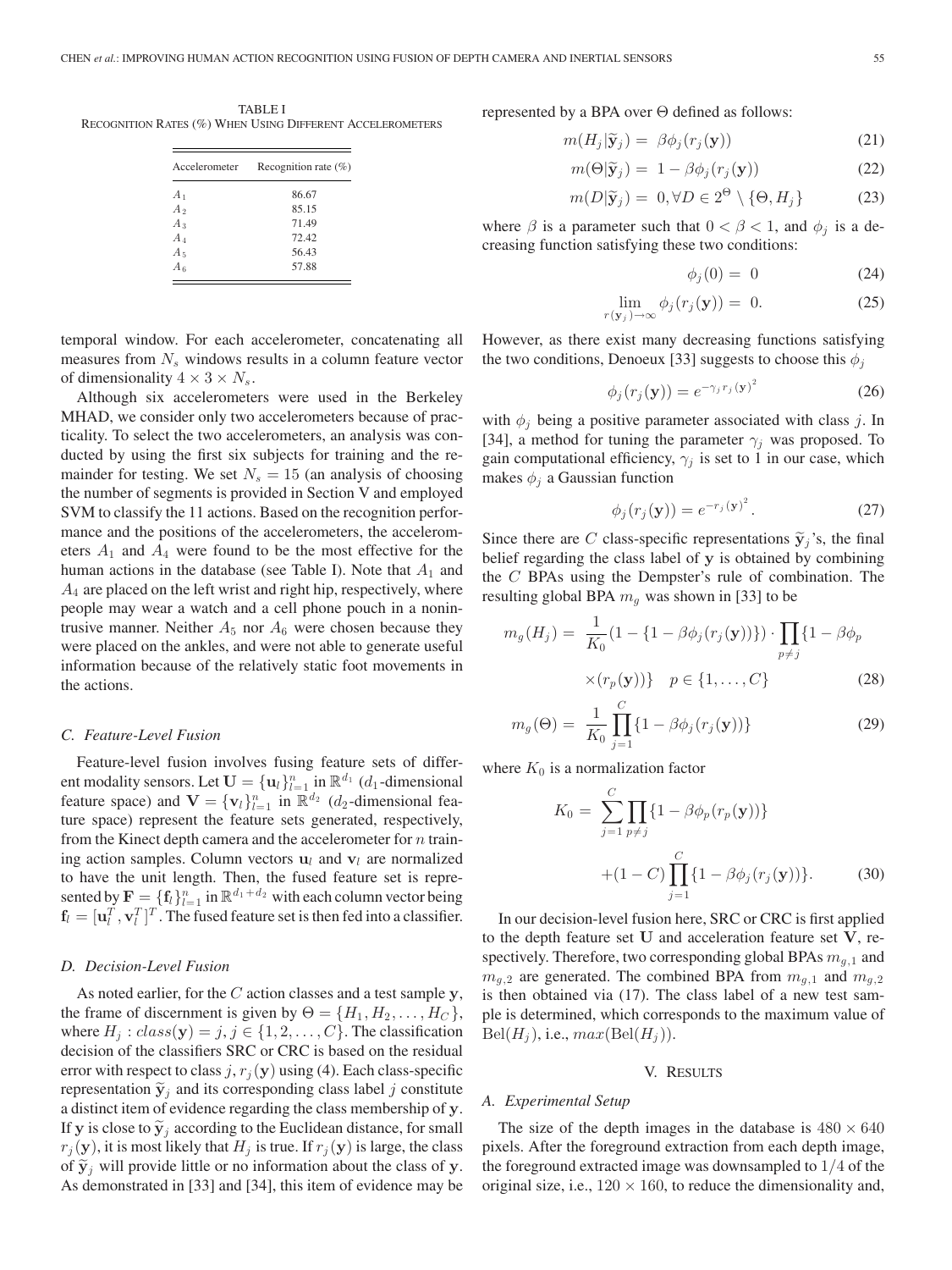TABLE I RECOGNITION RATES (%) WHEN USING DIFFERENT ACCELEROMETERS

| Accelerometer | Recognition rate $(\%)$ |
|---------------|-------------------------|
| A1            | 86.67                   |
| A2            | 85.15                   |
| $A_3$         | 71.49                   |
| $A_4$         | 72.42                   |
| $A_5$         | 56.43                   |
| $A_6$         | 57.88                   |

temporal window. For each accelerometer, concatenating all measures from  $N<sub>s</sub>$  windows results in a column feature vector of dimensionality  $4 \times 3 \times N_s$ .

Although six accelerometers were used in the Berkeley MHAD, we consider only two accelerometers because of practicality. To select the two accelerometers, an analysis was conducted by using the first six subjects for training and the remainder for testing. We set  $N_s = 15$  (an analysis of choosing the number of segments is provided in Section V and employed SVM to classify the 11 actions. Based on the recognition performance and the positions of the accelerometers, the accelerometers  $A_1$  and  $A_4$  were found to be the most effective for the human actions in the database (see Table I). Note that  $A_1$  and  $A_4$  are placed on the left wrist and right hip, respectively, where people may wear a watch and a cell phone pouch in a nonintrusive manner. Neither  $A_5$  nor  $A_6$  were chosen because they were placed on the ankles, and were not able to generate useful information because of the relatively static foot movements in the actions.

#### *C. Feature-Level Fusion*

Feature-level fusion involves fusing feature sets of different modality sensors. Let  $\mathbf{U} = {\mathbf{u}_l}_{l=1}^n$  in  $\mathbb{R}^{d_1}$  (d<sub>1</sub>-dimensional feature space) and  $\mathbf{V} = {\mathbf{v}_l}_{l=1}^n$  in  $\mathbb{R}^{d_2}$  (*d*<sub>2</sub>-dimensional feature space) represent the feature sets generated, respectively, from the Kinect depth camera and the accelerometer for  $n$  training action samples. Column vectors  $\mathbf{u}_l$  and  $\mathbf{v}_l$  are normalized to have the unit length. Then, the fused feature set is represented by  $\mathbf{F} = \{ \mathbf{f}_l \}_{l=1}^n$  in  $\mathbb{R}^{d_1 + d_2}$  with each column vector being  $\mathbf{f}_l = [\mathbf{u}_l^T, \mathbf{v}_l^T]^T$ . The fused feature set is then fed into a classifier.

## *D. Decision-Level Fusion*

As noted earlier, for the C action classes and a test sample **y**, the frame of discernment is given by  $\Theta = \{H_1, H_2, \dots, H_C\}$ , where  $H_i$ :  $class(y) = j, j \in \{1, 2, ..., C\}$ . The classification decision of the classifiers SRC or CRC is based on the residual error with respect to class j,  $r_i(\mathbf{y})$  using (4). Each class-specific representation  $\tilde{\mathbf{y}}_j$  and its corresponding class label j constitute a distinct item of evidence regarding the class membership of **v** a distinct item of evidence regarding the class membership of **y**. If **y** is close to  $\tilde{\mathbf{y}}_j$  according to the Euclidean distance, for small  $r_i(\mathbf{y})$  it is most likely that H is true. If  $r_i(\mathbf{y})$  is large, the class  $r_j(\mathbf{y})$ , it is most likely that  $H_j$  is true. If  $r_j(\mathbf{y})$  is large, the class of  $\tilde{\mathbf{y}}_j$  will provide little or no information about the class of **y**.<br>As demonstrated in [33] and [34], this item of evidence may be As demonstrated in [33] and [34], this item of evidence may be represented by a BPA over  $\Theta$  defined as follows:

$$
m(H_j|\widetilde{\mathbf{y}}_j) = \beta \phi_j(r_j(\mathbf{y})) \tag{21}
$$

$$
m(\Theta|\widetilde{\mathbf{y}}_j) = 1 - \beta \phi_j(r_j(\mathbf{y})) \tag{22}
$$

$$
m(D|\widetilde{\mathbf{y}}_j) = 0, \forall D \in 2^{\Theta} \setminus \{\Theta, H_j\} \tag{23}
$$

where  $\beta$  is a parameter such that  $0 < \beta < 1$ , and  $\phi_i$  is a decreasing function satisfying these two conditions:

$$
\phi_j(0) = 0 \tag{24}
$$

$$
\lim_{r(\mathbf{y}_j)\to\infty} \phi_j(r_j(\mathbf{y})) = 0.
$$
\n(25)

However, as there exist many decreasing functions satisfying the two conditions, Denoeux [33] suggests to choose this  $\phi_i$ 

$$
\phi_j(r_j(\mathbf{y})) = e^{-\gamma_j r_j(\mathbf{y})^2}
$$
\n(26)

with  $\phi_j$  being a positive parameter associated with class j. In [34], a method for tuning the parameter  $\gamma_j$  was proposed. To gain computational efficiency,  $\gamma_i$  is set to 1 in our case, which makes  $\phi_i$  a Gaussian function

$$
\phi_j(r_j(\mathbf{y})) = e^{-r_j(\mathbf{y})^2}.
$$
 (27)

Since there are C class-specific representations  $\tilde{\mathbf{y}}_j$ 's, the final<br>belief regarding the class label of **y** is obtained by combining belief regarding the class label of **y** is obtained by combining the C BPAs using the Dempster's rule of combination. The resulting global BPA  $m_q$  was shown in [33] to be

$$
m_g(H_j) = \frac{1}{K_0} (1 - \{1 - \beta \phi_j(r_j(\mathbf{y}))\}) \cdot \prod_{p \neq j} \{1 - \beta \phi_p
$$

$$
\times (r_p(\mathbf{y}))\} \quad p \in \{1, \dots, C\}
$$
(28)

$$
m_g(\Theta) = \frac{1}{K_0} \prod_{j=1}^{C} \{1 - \beta \phi_j(r_j(\mathbf{y}))\}
$$
 (29)

where  $K_0$  is a normalization factor

$$
K_0 = \sum_{j=1}^{C} \prod_{p \neq j} \{1 - \beta \phi_p(r_p(\mathbf{y}))\}
$$
  
+(1-C)  $\prod_{j=1}^{C} \{1 - \beta \phi_j(r_j(\mathbf{y}))\}.$  (30)

In our decision-level fusion here, SRC or CRC is first applied to the depth feature set **U** and acceleration feature set **V**, respectively. Therefore, two corresponding global BPAs  $m_{q,1}$  and  $m_{g,2}$  are generated. The combined BPA from  $m_{g,1}$  and  $m_{g,2}$ is then obtained via (17). The class label of a new test sample is determined, which corresponds to the maximum value of  $Bel(H<sub>i</sub>)$ , i.e.,  $max(Bel(H<sub>i</sub>)).$ 

## V. RESULTS

#### *A. Experimental Setup*

The size of the depth images in the database is  $480 \times 640$ pixels. After the foreground extraction from each depth image, the foreground extracted image was downsampled to  $1/4$  of the original size, i.e.,  $120 \times 160$ , to reduce the dimensionality and,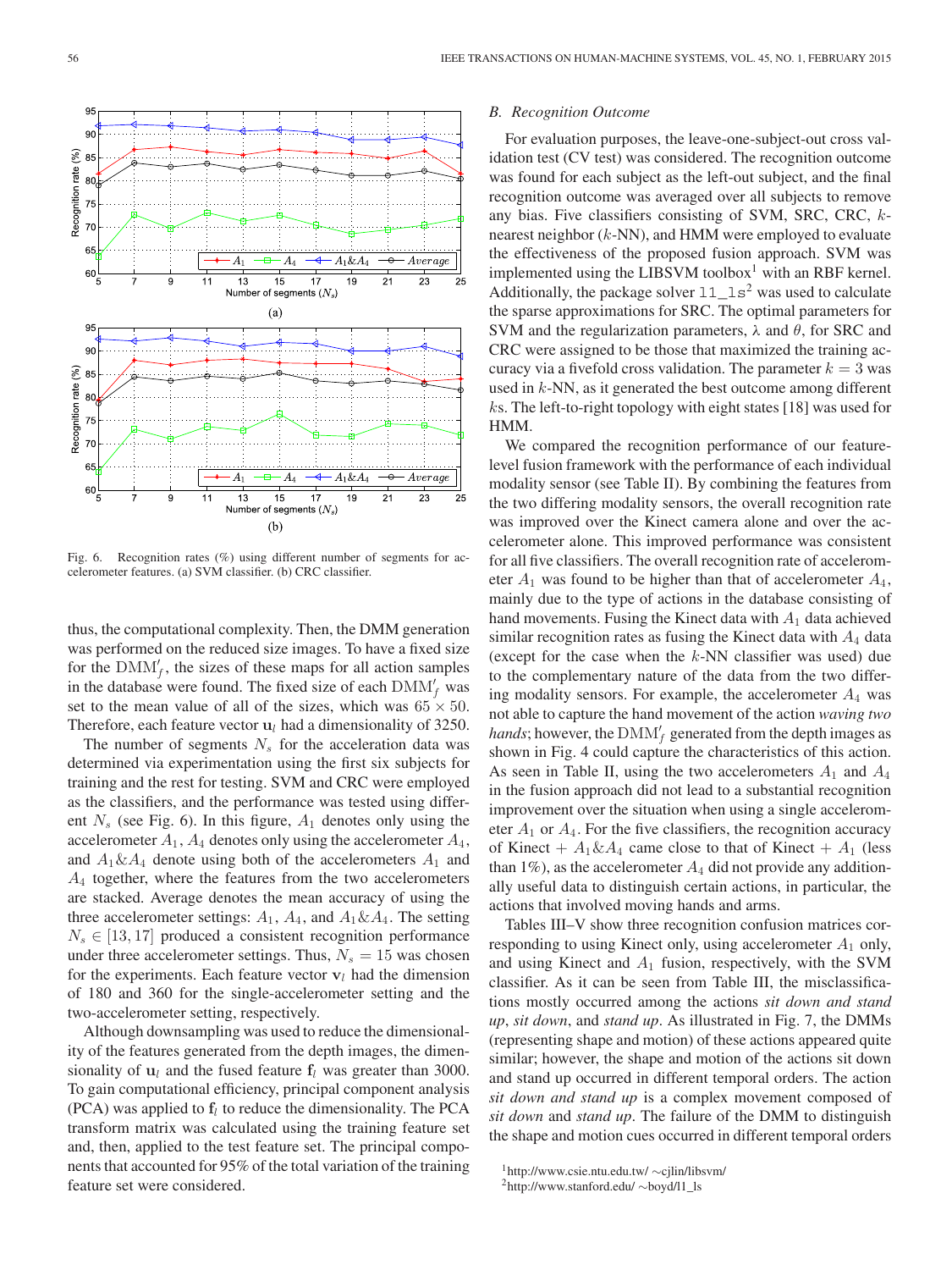

Fig. 6. Recognition rates (%) using different number of segments for accelerometer features. (a) SVM classifier. (b) CRC classifier.

thus, the computational complexity. Then, the DMM generation was performed on the reduced size images. To have a fixed size for the  $\text{DMM}'_f$ , the sizes of these maps for all action samples in the database were found. The fixed size of each  $\text{DMM}_f'$  was set to the mean value of all of the sizes, which was  $65 \times 50$ . Therefore, each feature vector  $\mathbf{u}_l$  had a dimensionality of 3250.

The number of segments  $N<sub>s</sub>$  for the acceleration data was determined via experimentation using the first six subjects for training and the rest for testing. SVM and CRC were employed as the classifiers, and the performance was tested using different  $N_s$  (see Fig. 6). In this figure,  $A_1$  denotes only using the accelerometer  $A_1$ ,  $A_4$  denotes only using the accelerometer  $A_4$ , and  $A_1 \& A_4$  denote using both of the accelerometers  $A_1$  and  $A_4$  together, where the features from the two accelerometers are stacked. Average denotes the mean accuracy of using the three accelerometer settings:  $A_1$ ,  $A_4$ , and  $A_1 \& A_4$ . The setting  $N_s \in [13, 17]$  produced a consistent recognition performance under three accelerometer settings. Thus,  $N_s = 15$  was chosen for the experiments. Each feature vector  $v_l$  had the dimension of 180 and 360 for the single-accelerometer setting and the two-accelerometer setting, respectively.

Although downsampling was used to reduce the dimensionality of the features generated from the depth images, the dimensionality of  $\mathbf{u}_l$  and the fused feature  $\mathbf{f}_l$  was greater than 3000. To gain computational efficiency, principal component analysis (PCA) was applied to  $f_l$  to reduce the dimensionality. The PCA transform matrix was calculated using the training feature set and, then, applied to the test feature set. The principal components that accounted for 95% of the total variation of the training feature set were considered.

## *B. Recognition Outcome*

For evaluation purposes, the leave-one-subject-out cross validation test (CV test) was considered. The recognition outcome was found for each subject as the left-out subject, and the final recognition outcome was averaged over all subjects to remove any bias. Five classifiers consisting of SVM, SRC, CRC, knearest neighbor (k-NN), and HMM were employed to evaluate the effectiveness of the proposed fusion approach. SVM was implemented using the LIBSVM toolbox<sup>1</sup> with an RBF kernel. Additionally, the package solver  $11 \_1s^2$  was used to calculate the sparse approximations for SRC. The optimal parameters for SVM and the regularization parameters,  $\lambda$  and  $\theta$ , for SRC and CRC were assigned to be those that maximized the training accuracy via a fivefold cross validation. The parameter  $k = 3$  was used in k-NN, as it generated the best outcome among different ks. The left-to-right topology with eight states [18] was used for HMM.

We compared the recognition performance of our featurelevel fusion framework with the performance of each individual modality sensor (see Table II). By combining the features from the two differing modality sensors, the overall recognition rate was improved over the Kinect camera alone and over the accelerometer alone. This improved performance was consistent for all five classifiers. The overall recognition rate of accelerometer  $A_1$  was found to be higher than that of accelerometer  $A_4$ , mainly due to the type of actions in the database consisting of hand movements. Fusing the Kinect data with  $A_1$  data achieved similar recognition rates as fusing the Kinect data with  $A_4$  data (except for the case when the  $k$ -NN classifier was used) due to the complementary nature of the data from the two differing modality sensors. For example, the accelerometer  $A_4$  was not able to capture the hand movement of the action *waving two hands*; however, the  $\text{DMM}_f'$  generated from the depth images as shown in Fig. 4 could capture the characteristics of this action. As seen in Table II, using the two accelerometers  $A_1$  and  $A_4$ in the fusion approach did not lead to a substantial recognition improvement over the situation when using a single accelerometer  $A_1$  or  $A_4$ . For the five classifiers, the recognition accuracy of Kinect +  $A_1 \& A_4$  came close to that of Kinect +  $A_1$  (less than 1%), as the accelerometer  $A_4$  did not provide any additionally useful data to distinguish certain actions, in particular, the actions that involved moving hands and arms.

Tables III–V show three recognition confusion matrices corresponding to using Kinect only, using accelerometer  $A_1$  only, and using Kinect and  $A_1$  fusion, respectively, with the SVM classifier. As it can be seen from Table III, the misclassifications mostly occurred among the actions *sit down and stand up*, *sit down*, and *stand up*. As illustrated in Fig. 7, the DMMs (representing shape and motion) of these actions appeared quite similar; however, the shape and motion of the actions sit down and stand up occurred in different temporal orders. The action *sit down and stand up* is a complex movement composed of *sit down* and *stand up*. The failure of the DMM to distinguish the shape and motion cues occurred in different temporal orders

<sup>1</sup>http://www.csie.ntu.edu.tw/ <sup>∼</sup>cjlin/libsvm/ 2http://www.stanford.edu/ <sup>∼</sup>boyd/l1\_ls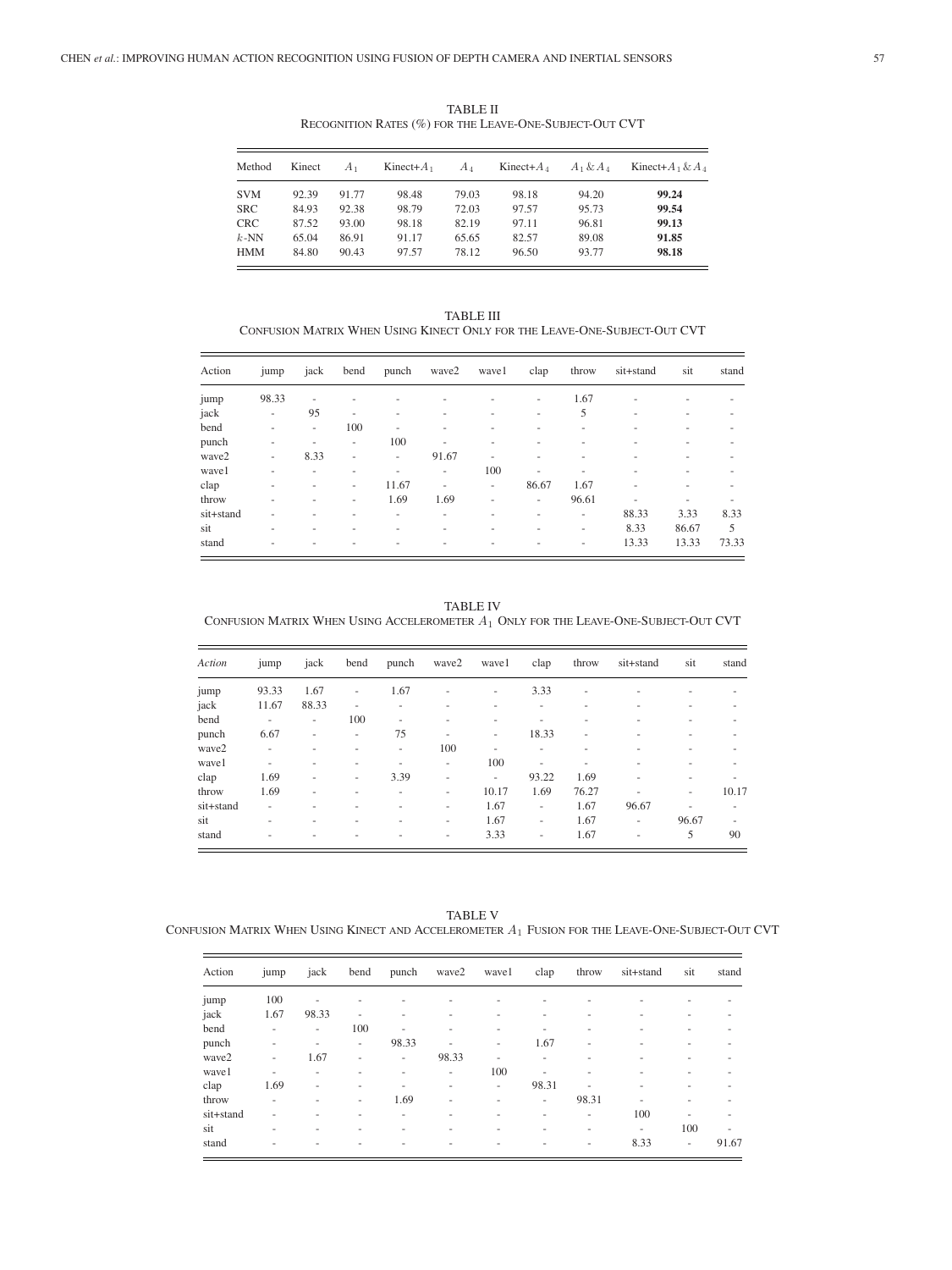TABLE II RECOGNITION RATES (%) FOR THE LEAVE-ONE-SUBJECT-OUT CVT

| Method     | Kinect | A1    | Kinect+ $A_1$ | $A_4$ | Kinect+ $A_4$ | $A_1\&A_4$ | Kinect+ $A_1 \& A_4$ |
|------------|--------|-------|---------------|-------|---------------|------------|----------------------|
| <b>SVM</b> | 92.39  | 91.77 | 98.48         | 79.03 | 98.18         | 94.20      | 99.24                |
| <b>SRC</b> | 84.93  | 92.38 | 98.79         | 72.03 | 97.57         | 95.73      | 99.54                |
| <b>CRC</b> | 87.52  | 93.00 | 98.18         | 82.19 | 97.11         | 96.81      | 99.13                |
| $k$ -NN    | 65.04  | 86.91 | 91.17         | 65.65 | 82.57         | 89.08      | 91.85                |
| <b>HMM</b> | 84.80  | 90.43 | 97.57         | 78.12 | 96.50         | 93.77      | 98.18                |

TABLE III CONFUSION MATRIX WHEN USING KINECT ONLY FOR THE LEAVE-ONE-SUBJECT-OUT CVT

| Action    | jump  | jack                     | bend                     | punch | wave2                    | wavel | clap                     | throw | sit+stand                | sit   | stand                    |
|-----------|-------|--------------------------|--------------------------|-------|--------------------------|-------|--------------------------|-------|--------------------------|-------|--------------------------|
| jump      | 98.33 | $\overline{\phantom{a}}$ |                          |       |                          |       | ٠                        | 1.67  | ٠                        |       |                          |
| jack      | ۰     | 95                       | ٠                        | ٠     | $\overline{\phantom{a}}$ | ٠     | ٠                        | 5     | ٠                        |       |                          |
| bend      | ٠     | $\overline{\phantom{a}}$ | 100                      | ٠     | ٠                        | ٠     | ٠                        | ٠     | ۰                        | ۰     | $\overline{\phantom{a}}$ |
| punch     | ٠     | ۰                        | $\overline{\phantom{a}}$ | 100   | ٠                        | ٠     | ٠                        | ٠     | ٠                        | ٠     | $\overline{\phantom{a}}$ |
| wave2     | ۰     | 8.33                     | ۰                        | ٠     | 91.67                    | ٠     | ٠                        | ٠     | ٠                        |       |                          |
| wavel     | ٠     |                          | ۰                        | ٠     | ٠                        | 100   | ٠                        | ٠     | $\overline{\phantom{a}}$ | ٠     | $\overline{\phantom{a}}$ |
| clap      | ٠     |                          | ٠                        | 11.67 | ٠                        | ۰     | 86.67                    | 1.67  | ٠                        |       |                          |
| throw     | ٠     |                          | ۰                        | 1.69  | 1.69                     | ٠     | $\overline{\phantom{a}}$ | 96.61 | ٠                        | ۰     | ٠                        |
| sit+stand | ٠     |                          | ۰                        | ٠     | ٠                        | ۰     | ٠                        | ٠     | 88.33                    | 3.33  | 8.33                     |
| sit       | ٠     |                          |                          | ۰     | ٠                        | ٠     | ٠                        | ٠     | 8.33                     | 86.67 | 5                        |
| stand     | ۰     |                          |                          | ٠     | ٠                        | ۰     | ۰                        | ٠     | 13.33                    | 13.33 | 73.33                    |

TABLE IV

CONFUSION MATRIX WHEN USING ACCELEROMETER  $A_1$  ONLY FOR THE LEAVE-ONE-SUBJECT-OUT CVT

| Action    | jump                     | jack                     | bend | punch | wave2 | wavel                    | clap                     | throw                    | sit+stand | sit                      | stand |
|-----------|--------------------------|--------------------------|------|-------|-------|--------------------------|--------------------------|--------------------------|-----------|--------------------------|-------|
| jump      | 93.33                    | 1.67                     | ٠    | 1.67  | ٠     | ٠                        | 3.33                     | $\overline{\phantom{a}}$ |           |                          |       |
| jack      | 11.67                    | 88.33                    | ٠    | ٠     | -     | ٠                        | ٠                        | $\overline{\phantom{a}}$ |           |                          |       |
| bend      | ٠                        | $\overline{\phantom{a}}$ | 100  | ٠     | ۰     | ٠                        | ٠                        | $\overline{\phantom{a}}$ | ۰         |                          |       |
| punch     | 6.67                     | ٠                        | ٠    | 75    | ۰     | $\sim$                   | 18.33                    | ٠                        | ۰         | ٠                        | ٠     |
| wave2     | ٠                        | -                        | ٠    | ٠     | 100   | ۰                        | ٠                        | ٠                        | ۰         |                          |       |
| wavel     | ٠                        | -                        | ٠    | ٠     | ۰     | 100                      | ٠                        | ٠                        | ۰         | $\overline{\phantom{a}}$ |       |
| clap      | 1.69                     | ۰                        | ٠    | 3.39  | ۰     | $\overline{\phantom{a}}$ | 93.22                    | 1.69                     |           |                          |       |
| throw     | 1.69                     | ٠                        | ۰    | ٠     | ۰     | 10.17                    | 1.69                     | 76.27                    | ٠         | ٠                        | 10.17 |
| sit+stand | $\overline{\phantom{a}}$ |                          |      | ۰     | ۰     | 1.67                     | $\overline{\phantom{a}}$ | 1.67                     | 96.67     | $\overline{\phantom{a}}$ |       |
| sit       | $\overline{\phantom{a}}$ |                          |      | ٠     | ۰     | 1.67                     | ٠                        | 1.67                     | ٠         | 96.67                    | ٠     |
| stand     | $\overline{\phantom{a}}$ |                          | ۰    | ٠     | ۰     | 3.33                     | ٠                        | 1.67                     | ۰         | 5                        | 90    |

TABLE V CONFUSION MATRIX WHEN USING KINECT AND ACCELEROMETER  $A_1$  FUSION FOR THE LEAVE-ONE-SUBJECT-OUT CVT

| Action    | jump                     | jack                     | bend                     | punch | wave2                    | wavel | clap  | throw | sit+stand | sit                      | stand |
|-----------|--------------------------|--------------------------|--------------------------|-------|--------------------------|-------|-------|-------|-----------|--------------------------|-------|
| jump      | 100                      | $\overline{\phantom{a}}$ | ٠                        | ٠     | ٠                        | ۰     |       | ۰     | ۰         | ۰                        | ۰     |
| jack      | 1.67                     | 98.33                    | $\overline{\phantom{a}}$ | ۰     | ٠                        | ۰     | ۰     | ۰     | ٠         | ٠                        |       |
| bend      | ۰                        | $\overline{\phantom{a}}$ | 100                      | ۰     | ٠                        | ٠     | ٠     | ٠     | ٠         | $\overline{\phantom{a}}$ | ٠     |
| punch     | ۰                        | ٠                        | $\overline{\phantom{a}}$ | 98.33 | $\overline{\phantom{a}}$ | ٠     | 1.67  | ٠     | ٠         | ٠                        |       |
| wave2     | $\overline{\phantom{a}}$ | 1.67                     | ٠                        | ۰     | 98.33                    | ٠     | ÷     | ۰     | ۰         | ۰                        |       |
| wavel     | $\overline{\phantom{a}}$ | ٠                        | ۰                        | ۰     | $\sim$                   | 100   | ٠     | ٠     | ٠         | $\overline{\phantom{a}}$ | ۰     |
| clap      | 1.69                     | ٠                        | ۰                        | ۰     | $\overline{\phantom{a}}$ | ٠     | 98.31 | ٠     | ٠         | $\overline{\phantom{a}}$ | ٠     |
| throw     | ۰                        | ۰                        | $\overline{\phantom{a}}$ | 1.69  | $\overline{\phantom{a}}$ | ٠     | ٠     | 98.31 | ٠         | $\overline{\phantom{a}}$ | ٠     |
| sit+stand | ۰                        |                          | ۰                        | ۰     | ٠                        | ۰     | ٠     | ٠     | 100       | ٠                        | -     |
| sit       | ۰                        | ۰                        | ۰                        | ۰     | ٠                        | ۰     | ٠     | ٠     | $\sim$    | 100                      | ٠     |
| stand     | ۰                        | ۰                        | -                        | ٠     | ٠                        | ٠     | ٠     | ٠     | 8.33      | ٠                        | 91.67 |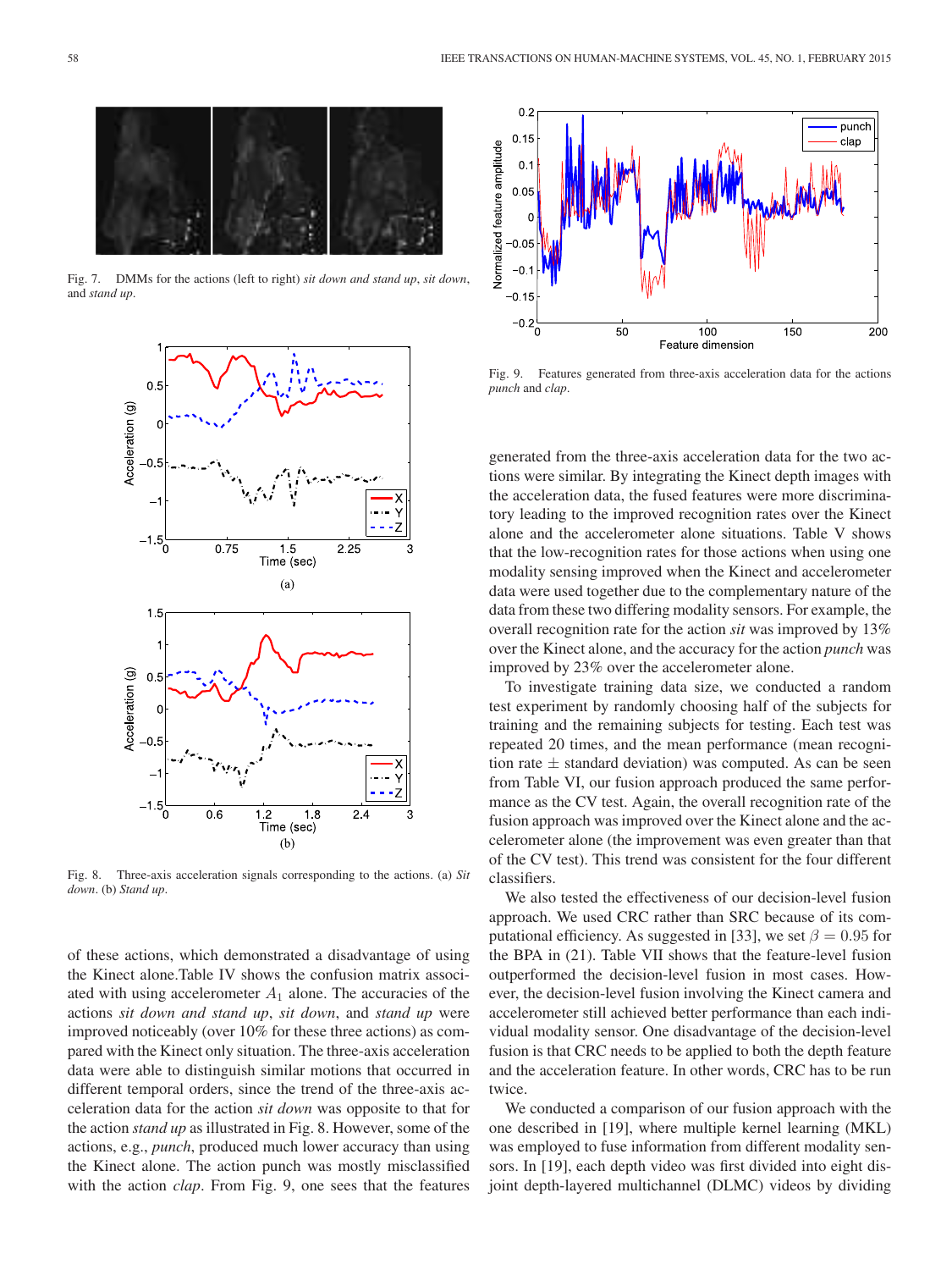

Fig. 7. DMMs for the actions (left to right) *sit down and stand up*, *sit down*, and *stand up*.



Fig. 8. Three-axis acceleration signals corresponding to the actions. (a) *Sit down*. (b) *Stand up*.

of these actions, which demonstrated a disadvantage of using the Kinect alone.Table IV shows the confusion matrix associated with using accelerometer  $A_1$  alone. The accuracies of the actions *sit down and stand up*, *sit down*, and *stand up* were improved noticeably (over 10% for these three actions) as compared with the Kinect only situation. The three-axis acceleration data were able to distinguish similar motions that occurred in different temporal orders, since the trend of the three-axis acceleration data for the action *sit down* was opposite to that for the action *stand up* as illustrated in Fig. 8. However, some of the actions, e.g., *punch*, produced much lower accuracy than using the Kinect alone. The action punch was mostly misclassified with the action *clap*. From Fig. 9, one sees that the features



Fig. 9. Features generated from three-axis acceleration data for the actions *punch* and *clap*.

generated from the three-axis acceleration data for the two actions were similar. By integrating the Kinect depth images with the acceleration data, the fused features were more discriminatory leading to the improved recognition rates over the Kinect alone and the accelerometer alone situations. Table V shows that the low-recognition rates for those actions when using one modality sensing improved when the Kinect and accelerometer data were used together due to the complementary nature of the data from these two differing modality sensors. For example, the overall recognition rate for the action *sit* was improved by 13% over the Kinect alone, and the accuracy for the action *punch* was improved by 23% over the accelerometer alone.

To investigate training data size, we conducted a random test experiment by randomly choosing half of the subjects for training and the remaining subjects for testing. Each test was repeated 20 times, and the mean performance (mean recognition rate  $\pm$  standard deviation) was computed. As can be seen from Table VI, our fusion approach produced the same performance as the CV test. Again, the overall recognition rate of the fusion approach was improved over the Kinect alone and the accelerometer alone (the improvement was even greater than that of the CV test). This trend was consistent for the four different classifiers.

We also tested the effectiveness of our decision-level fusion approach. We used CRC rather than SRC because of its computational efficiency. As suggested in [33], we set  $\beta = 0.95$  for the BPA in (21). Table VII shows that the feature-level fusion outperformed the decision-level fusion in most cases. However, the decision-level fusion involving the Kinect camera and accelerometer still achieved better performance than each individual modality sensor. One disadvantage of the decision-level fusion is that CRC needs to be applied to both the depth feature and the acceleration feature. In other words, CRC has to be run twice.

We conducted a comparison of our fusion approach with the one described in [19], where multiple kernel learning (MKL) was employed to fuse information from different modality sensors. In [19], each depth video was first divided into eight disjoint depth-layered multichannel (DLMC) videos by dividing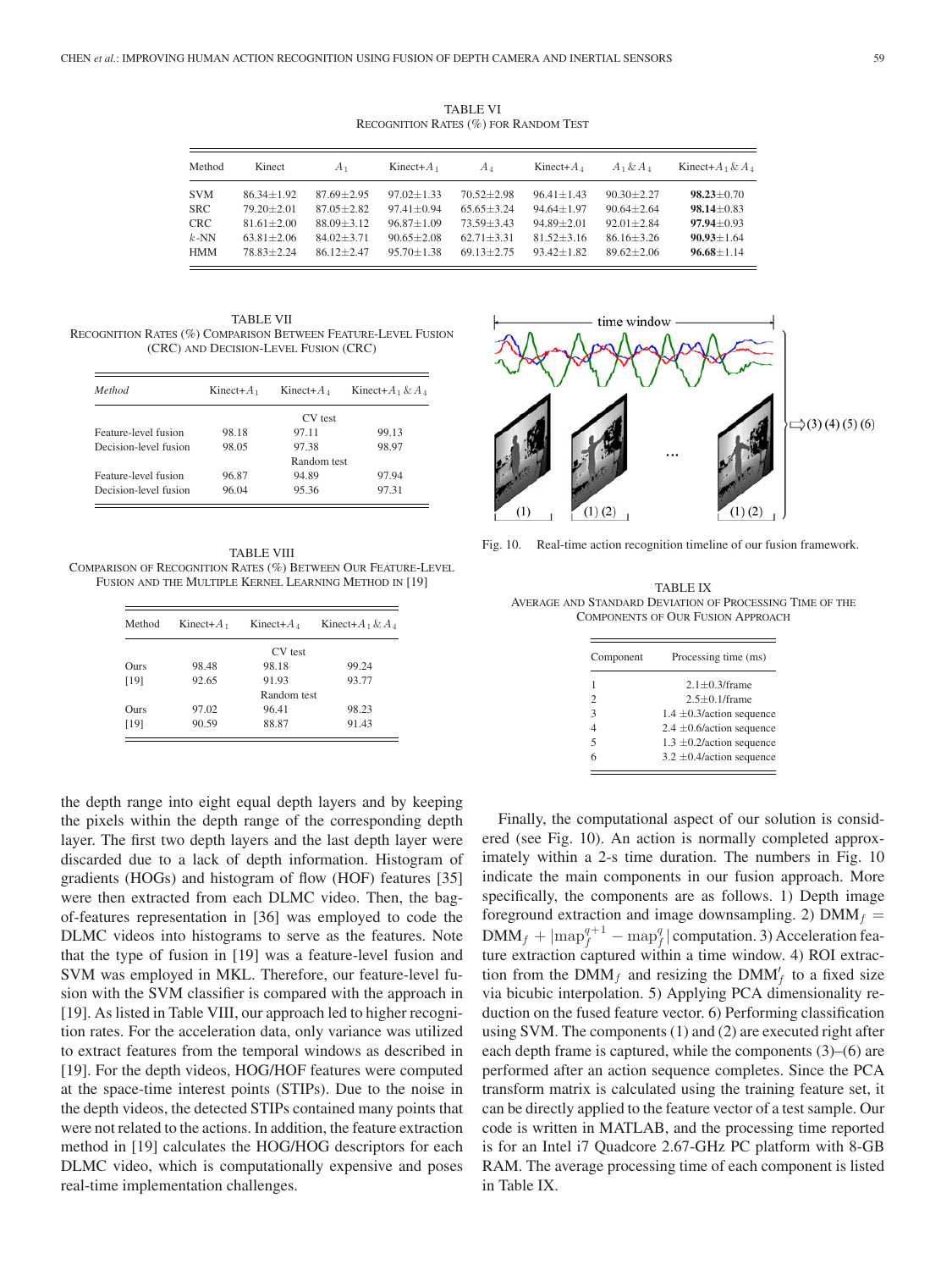TABLE VI RECOGNITION RATES (%) FOR RANDOM TEST

| Method     | Kinect           | А1               | Kinect+ $A_1$    | A 1              | Kinect+ $A_4$    | $A_1\&A_4$       | Kinect+ $A_1 \& A_4$ |
|------------|------------------|------------------|------------------|------------------|------------------|------------------|----------------------|
| <b>SVM</b> | $86.34 \pm 1.92$ | $87.69 + 2.95$   | $97.02 \pm 1.33$ | $70.52 \pm 2.98$ | $96.41 \pm 1.43$ | $90.30 \pm 2.27$ | $98.23 \pm 0.70$     |
| <b>SRC</b> | $79.20 + 2.01$   | $87.05 + 2.82$   | $97.41 + 0.94$   | $65.65 + 3.24$   | $94.64 \pm 1.97$ | $90.64 + 2.64$   | $98.14 + 0.83$       |
| <b>CRC</b> | $81.61 \pm 2.00$ | $88.09 \pm 3.12$ | $96.87 + 1.09$   | $73.59 + 3.43$   | $94.89 \pm 2.01$ | $92.01 + 2.84$   | $97.94 + 0.93$       |
| $k$ -NN    | $63.81 + 2.06$   | $84.02 + 3.71$   | $90.65 + 2.08$   | $62.71 \pm 3.31$ | $81.52 + 3.16$   | $86.16 + 3.26$   | $90.93 + 1.64$       |
| <b>HMM</b> | $78.83 + 2.24$   | $86.12 + 2.47$   | $95.70 + 1.38$   | $69.13 + 2.75$   | $93.42 + 1.82$   | $89.62 + 2.06$   | $96.68 + 1.14$       |

TABLE VII RECOGNITION RATES (%) COMPARISON BETWEEN FEATURE-LEVEL FUSION (CRC) AND DECISION-LEVEL FUSION (CRC)

| Method                | Kinect+ $A_1$ | Kinect+ $A_4$ | Kinect+ $A_1 \& A_4$ |
|-----------------------|---------------|---------------|----------------------|
|                       |               | CV test       |                      |
| Feature-level fusion  | 98.18         | 97.11         | 99.13                |
| Decision-level fusion | 98.05         | 97.38         | 98.97                |
|                       |               | Random test   |                      |
| Feature-level fusion  | 96.87         | 94.89         | 97.94                |
| Decision-level fusion | 96.04         | 95.36         | 97.31                |

TABLE VIII COMPARISON OF RECOGNITION RATES (%) BETWEEN OUR FEATURE-LEVEL FUSION AND THE MULTIPLE KERNEL LEARNING METHOD IN [19]

| Method | Kinect+ $A_1$ | Kinect+ $A_4$ | Kinect+ $A_1 \& A_4$ |
|--------|---------------|---------------|----------------------|
|        |               | CV test       |                      |
| Ours   | 98.48         | 98.18         | 99.24                |
| [19]   | 92.65         | 91.93         | 93.77                |
|        |               | Random test   |                      |
| Ours   | 97.02         | 96.41         | 98.23                |
| [19]   | 90.59         | 88.87         | 91.43                |

the depth range into eight equal depth layers and by keeping the pixels within the depth range of the corresponding depth layer. The first two depth layers and the last depth layer were discarded due to a lack of depth information. Histogram of gradients (HOGs) and histogram of flow (HOF) features [35] were then extracted from each DLMC video. Then, the bagof-features representation in [36] was employed to code the DLMC videos into histograms to serve as the features. Note that the type of fusion in [19] was a feature-level fusion and SVM was employed in MKL. Therefore, our feature-level fusion with the SVM classifier is compared with the approach in [19]. As listed in Table VIII, our approach led to higher recognition rates. For the acceleration data, only variance was utilized to extract features from the temporal windows as described in [19]. For the depth videos, HOG/HOF features were computed at the space-time interest points (STIPs). Due to the noise in the depth videos, the detected STIPs contained many points that were not related to the actions. In addition, the feature extraction method in [19] calculates the HOG/HOG descriptors for each DLMC video, which is computationally expensive and poses real-time implementation challenges.



Fig. 10. Real-time action recognition timeline of our fusion framework.

TABLE IX AVERAGE AND STANDARD DEVIATION OF PROCESSING TIME OF THE COMPONENTS OF OUR FUSION APPROACH

| Component      | Processing time (ms)           |
|----------------|--------------------------------|
| 1              | $2.1 + 0.3$ /frame             |
| $\overline{c}$ | $2.5+0.1$ /frame               |
| 3              | 1.4 $\pm$ 0.3/action sequence  |
| 4              | $2.4 \pm 0.6$ action sequence  |
| 5              | $1.3 \pm 0.2$ /action sequence |
| 6              | $3.2 \pm 0.4$ /action sequence |
|                |                                |

Finally, the computational aspect of our solution is considered (see Fig. 10). An action is normally completed approximately within a 2-s time duration. The numbers in Fig. 10 indicate the main components in our fusion approach. More specifically, the components are as follows. 1) Depth image foreground extraction and image downsampling. 2)  $DMM_f =$  $\text{DMM}_f + \left| \text{map}_f^{q+1} - \text{map}_f^q \right|$  computation. 3) Acceleration feature extraction captured within a time window. 4) ROI extraction from the DMM<sub>f</sub> and resizing the DMM'<sub>f</sub> to a fixed size via bicubic interpolation. 5) Applying PCA dimensionality reduction on the fused feature vector. 6) Performing classification using SVM. The components (1) and (2) are executed right after each depth frame is captured, while the components (3)–(6) are performed after an action sequence completes. Since the PCA transform matrix is calculated using the training feature set, it can be directly applied to the feature vector of a test sample. Our code is written in MATLAB, and the processing time reported is for an Intel i7 Quadcore 2.67-GHz PC platform with 8-GB RAM. The average processing time of each component is listed in Table IX.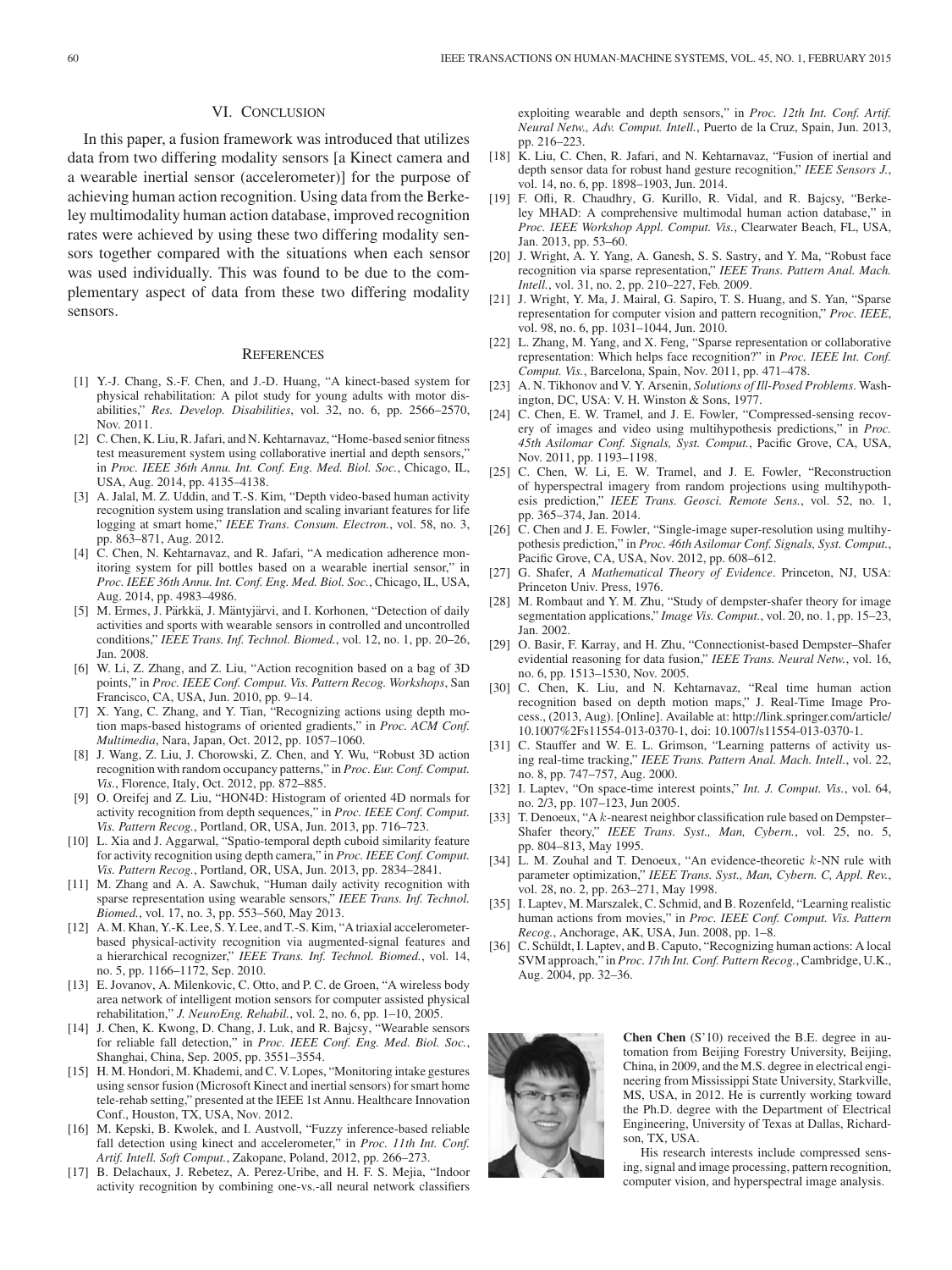#### VI. CONCLUSION

In this paper, a fusion framework was introduced that utilizes data from two differing modality sensors [a Kinect camera and a wearable inertial sensor (accelerometer)] for the purpose of achieving human action recognition. Using data from the Berkeley multimodality human action database, improved recognition rates were achieved by using these two differing modality sensors together compared with the situations when each sensor was used individually. This was found to be due to the complementary aspect of data from these two differing modality sensors.

#### **REFERENCES**

- [1] Y.-J. Chang, S.-F. Chen, and J.-D. Huang, "A kinect-based system for physical rehabilitation: A pilot study for young adults with motor disabilities," *Res. Develop. Disabilities*, vol. 32, no. 6, pp. 2566–2570, Nov. 2011.
- [2] C. Chen, K. Liu, R. Jafari, and N. Kehtarnavaz, "Home-based senior fitness test measurement system using collaborative inertial and depth sensors," in *Proc. IEEE 36th Annu. Int. Conf. Eng. Med. Biol. Soc.*, Chicago, IL, USA, Aug. 2014, pp. 4135–4138.
- [3] A. Jalal, M. Z. Uddin, and T.-S. Kim, "Depth video-based human activity recognition system using translation and scaling invariant features for life logging at smart home," *IEEE Trans. Consum. Electron.*, vol. 58, no. 3, pp. 863–871, Aug. 2012.
- [4] C. Chen, N. Kehtarnavaz, and R. Jafari, "A medication adherence monitoring system for pill bottles based on a wearable inertial sensor," in *Proc. IEEE 36th Annu. Int. Conf. Eng. Med. Biol. Soc.*, Chicago, IL, USA, Aug. 2014, pp. 4983–4986.
- [5] M. Ermes, J. Pärkkä, J. Mäntyjärvi, and I. Korhonen, "Detection of daily activities and sports with wearable sensors in controlled and uncontrolled conditions," *IEEE Trans. Inf. Technol. Biomed.*, vol. 12, no. 1, pp. 20–26, Jan. 2008.
- [6] W. Li, Z. Zhang, and Z. Liu, "Action recognition based on a bag of 3D points," in *Proc. IEEE Conf. Comput. Vis. Pattern Recog. Workshops*, San Francisco, CA, USA, Jun. 2010, pp. 9–14.
- [7] X. Yang, C. Zhang, and Y. Tian, "Recognizing actions using depth motion maps-based histograms of oriented gradients," in *Proc. ACM Conf. Multimedia*, Nara, Japan, Oct. 2012, pp. 1057–1060.
- [8] J. Wang, Z. Liu, J. Chorowski, Z. Chen, and Y. Wu, "Robust 3D action recognition with random occupancy patterns," in *Proc. Eur. Conf. Comput. Vis.*, Florence, Italy, Oct. 2012, pp. 872–885.
- [9] O. Oreifej and Z. Liu, "HON4D: Histogram of oriented 4D normals for activity recognition from depth sequences," in *Proc. IEEE Conf. Comput. Vis. Pattern Recog.*, Portland, OR, USA, Jun. 2013, pp. 716–723.
- [10] L. Xia and J. Aggarwal, "Spatio-temporal depth cuboid similarity feature for activity recognition using depth camera," in *Proc. IEEE Conf. Comput. Vis. Pattern Recog.*, Portland, OR, USA, Jun. 2013, pp. 2834–2841.
- [11] M. Zhang and A. A. Sawchuk, "Human daily activity recognition with sparse representation using wearable sensors," *IEEE Trans. Inf. Technol. Biomed.*, vol. 17, no. 3, pp. 553–560, May 2013.
- [12] A. M. Khan, Y.-K. Lee, S. Y. Lee, and T.-S. Kim, "A triaxial accelerometerbased physical-activity recognition via augmented-signal features and a hierarchical recognizer," *IEEE Trans. Inf. Technol. Biomed.*, vol. 14, no. 5, pp. 1166–1172, Sep. 2010.
- [13] E. Jovanov, A. Milenkovic, C. Otto, and P. C. de Groen, "A wireless body area network of intelligent motion sensors for computer assisted physical rehabilitation," *J. NeuroEng. Rehabil.*, vol. 2, no. 6, pp. 1–10, 2005.
- [14] J. Chen, K. Kwong, D. Chang, J. Luk, and R. Bajcsy, "Wearable sensors for reliable fall detection," in *Proc. IEEE Conf. Eng. Med. Biol. Soc.*, Shanghai, China, Sep. 2005, pp. 3551–3554.
- [15] H. M. Hondori, M. Khademi, and C. V. Lopes, "Monitoring intake gestures using sensor fusion (Microsoft Kinect and inertial sensors) for smart home tele-rehab setting," presented at the IEEE 1st Annu. Healthcare Innovation Conf., Houston, TX, USA, Nov. 2012.
- [16] M. Kepski, B. Kwolek, and I. Austvoll, "Fuzzy inference-based reliable fall detection using kinect and accelerometer," in *Proc. 11th Int. Conf. Artif. Intell. Soft Comput.*, Zakopane, Poland, 2012, pp. 266–273.
- [17] B. Delachaux, J. Rebetez, A. Perez-Uribe, and H. F. S. Mejia, "Indoor activity recognition by combining one-vs.-all neural network classifiers

exploiting wearable and depth sensors," in *Proc. 12th Int. Conf. Artif. Neural Netw., Adv. Comput. Intell.*, Puerto de la Cruz, Spain, Jun. 2013, pp. 216–223.

- [18] K. Liu, C. Chen, R. Jafari, and N. Kehtarnavaz, "Fusion of inertial and depth sensor data for robust hand gesture recognition," *IEEE Sensors J.*, vol. 14, no. 6, pp. 1898–1903, Jun. 2014.
- [19] F. Ofli, R. Chaudhry, G. Kurillo, R. Vidal, and R. Bajcsy, "Berkeley MHAD: A comprehensive multimodal human action database," in *Proc. IEEE Workshop Appl. Comput. Vis.*, Clearwater Beach, FL, USA, Jan. 2013, pp. 53–60.
- [20] J. Wright, A. Y. Yang, A. Ganesh, S. S. Sastry, and Y. Ma, "Robust face recognition via sparse representation," *IEEE Trans. Pattern Anal. Mach. Intell.*, vol. 31, no. 2, pp. 210–227, Feb. 2009.
- [21] J. Wright, Y. Ma, J. Mairal, G. Sapiro, T. S. Huang, and S. Yan, "Sparse representation for computer vision and pattern recognition," *Proc. IEEE*, vol. 98, no. 6, pp. 1031–1044, Jun. 2010.
- [22] L. Zhang, M. Yang, and X. Feng, "Sparse representation or collaborative representation: Which helps face recognition?" in *Proc. IEEE Int. Conf. Comput. Vis.*, Barcelona, Spain, Nov. 2011, pp. 471–478.
- [23] A. N. Tikhonov and V. Y. Arsenin, *Solutions of Ill-Posed Problems*. Washington, DC, USA: V. H. Winston & Sons, 1977.
- [24] C. Chen, E. W. Tramel, and J. E. Fowler, "Compressed-sensing recovery of images and video using multihypothesis predictions," in *Proc. 45th Asilomar Conf. Signals, Syst. Comput.*, Pacific Grove, CA, USA, Nov. 2011, pp. 1193–1198.
- [25] C. Chen, W. Li, E. W. Tramel, and J. E. Fowler, "Reconstruction of hyperspectral imagery from random projections using multihypothesis prediction," *IEEE Trans. Geosci. Remote Sens.*, vol. 52, no. 1, pp. 365–374, Jan. 2014.
- [26] C. Chen and J. E. Fowler, "Single-image super-resolution using multihypothesis prediction," in *Proc. 46th Asilomar Conf. Signals, Syst. Comput.*, Pacific Grove, CA, USA, Nov. 2012, pp. 608–612.
- [27] G. Shafer, *A Mathematical Theory of Evidence*. Princeton, NJ, USA: Princeton Univ. Press, 1976.
- [28] M. Rombaut and Y. M. Zhu, "Study of dempster-shafer theory for image segmentation applications," *Image Vis. Comput.*, vol. 20, no. 1, pp. 15–23, Jan. 2002.
- [29] O. Basir, F. Karray, and H. Zhu, "Connectionist-based Dempster–Shafer evidential reasoning for data fusion," *IEEE Trans. Neural Netw.*, vol. 16, no. 6, pp. 1513–1530, Nov. 2005.
- [30] C. Chen, K. Liu, and N. Kehtarnavaz, "Real time human action recognition based on depth motion maps," J. Real-Time Image Process., (2013, Aug). [Online]. Available at: http://link.springer.com/article/ 10.1007%2Fs11554-013-0370-1, doi: 10.1007/s11554-013-0370-1.
- [31] C. Stauffer and W. E. L. Grimson, "Learning patterns of activity using real-time tracking," *IEEE Trans. Pattern Anal. Mach. Intell.*, vol. 22, no. 8, pp. 747–757, Aug. 2000.
- [32] I. Laptev, "On space-time interest points," *Int. J. Comput. Vis.*, vol. 64, no. 2/3, pp. 107–123, Jun 2005.
- [33] T. Denoeux, "A k-nearest neighbor classification rule based on Dempster– Shafer theory," *IEEE Trans. Syst., Man, Cybern.*, vol. 25, no. 5, pp. 804–813, May 1995.
- [34] L. M. Zouhal and T. Denoeux, "An evidence-theoretic k-NN rule with parameter optimization," *IEEE Trans. Syst., Man, Cybern. C, Appl. Rev.*, vol. 28, no. 2, pp. 263–271, May 1998.
- [35] I. Laptev, M. Marszalek, C. Schmid, and B. Rozenfeld, "Learning realistic human actions from movies," in *Proc. IEEE Conf. Comput. Vis. Pattern Recog.*, Anchorage, AK, USA, Jun. 2008, pp. 1–8.
- [36] C. Schüldt, I. Laptev, and B. Caputo, "Recognizing human actions: A local SVM approach," in *Proc. 17th Int. Conf. Pattern Recog.*, Cambridge, U.K., Aug. 2004, pp. 32–36.



**Chen Chen** (S'10) received the B.E. degree in automation from Beijing Forestry University, Beijing, China, in 2009, and the M.S. degree in electrical engineering from Mississippi State University, Starkville, MS, USA, in 2012. He is currently working toward the Ph.D. degree with the Department of Electrical Engineering, University of Texas at Dallas, Richardson, TX, USA.

His research interests include compressed sensing, signal and image processing, pattern recognition, computer vision, and hyperspectral image analysis.